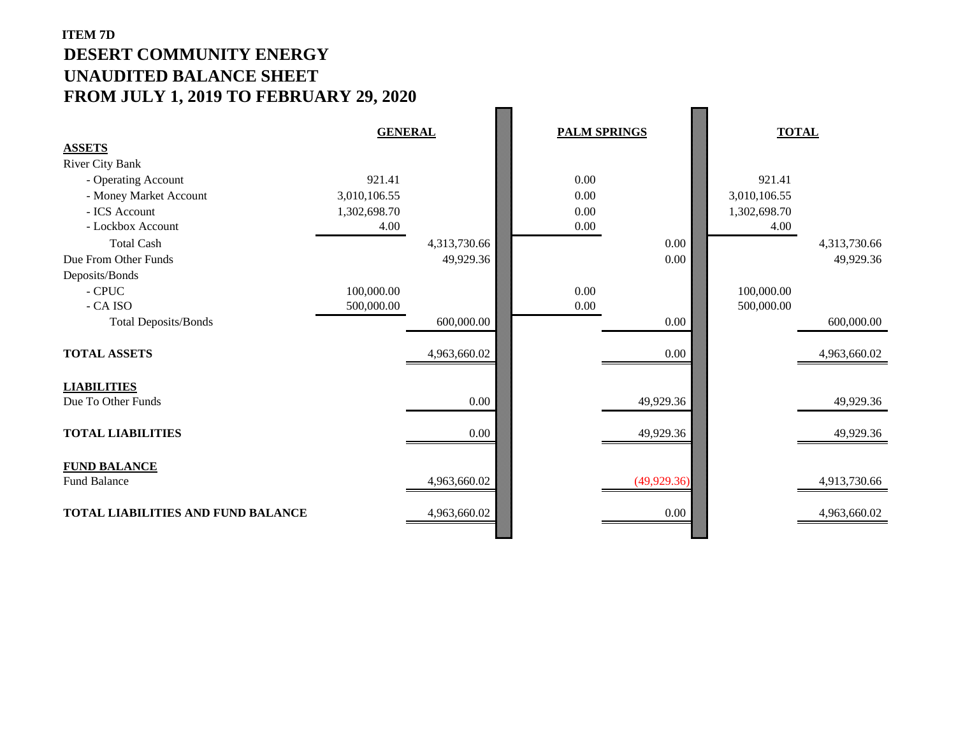## **ITEM 7D DESERT COMMUNITY ENERGY UNAUDITED BALANCE SHEET FROM JULY 1, 2019 TO FEBRUARY 29, 2020**

|                                           | <b>GENERAL</b> |              | <b>PALM SPRINGS</b> |              | <b>TOTAL</b> |              |
|-------------------------------------------|----------------|--------------|---------------------|--------------|--------------|--------------|
| <b>ASSETS</b>                             |                |              |                     |              |              |              |
| <b>River City Bank</b>                    |                |              |                     |              |              |              |
| - Operating Account                       | 921.41         |              | 0.00                |              | 921.41       |              |
| - Money Market Account                    | 3,010,106.55   |              | 0.00                |              | 3,010,106.55 |              |
| - ICS Account                             | 1,302,698.70   |              | 0.00                |              | 1,302,698.70 |              |
| - Lockbox Account                         | 4.00           |              | $0.00\,$            |              | 4.00         |              |
| <b>Total Cash</b>                         |                | 4,313,730.66 |                     | 0.00         |              | 4,313,730.66 |
| Due From Other Funds                      |                | 49,929.36    |                     | 0.00         |              | 49,929.36    |
| Deposits/Bonds                            |                |              |                     |              |              |              |
| $\mathop{\text{-} \textrm{CPUC}}$         | 100,000.00     |              | 0.00                |              | 100,000.00   |              |
| - CA ISO                                  | 500,000.00     |              | $0.00\,$            |              | 500,000.00   |              |
| <b>Total Deposits/Bonds</b>               |                | 600,000.00   |                     | $0.00\,$     |              | 600,000.00   |
|                                           |                |              |                     |              |              |              |
| <b>TOTAL ASSETS</b>                       |                | 4,963,660.02 |                     | 0.00         |              | 4,963,660.02 |
|                                           |                |              |                     |              |              |              |
| <b>LIABILITIES</b>                        |                |              |                     |              |              |              |
| Due To Other Funds                        |                | $0.00\,$     |                     | 49,929.36    |              | 49,929.36    |
|                                           |                |              |                     |              |              |              |
| <b>TOTAL LIABILITIES</b>                  |                | 0.00         |                     | 49,929.36    |              | 49,929.36    |
|                                           |                |              |                     |              |              |              |
| <b>FUND BALANCE</b>                       |                |              |                     |              |              |              |
| <b>Fund Balance</b>                       |                | 4,963,660.02 |                     | (49, 929.36) |              | 4,913,730.66 |
|                                           |                |              |                     |              |              |              |
| <b>TOTAL LIABILITIES AND FUND BALANCE</b> |                | 4,963,660.02 |                     | $0.00\,$     |              | 4,963,660.02 |
|                                           |                |              |                     |              |              |              |

 $\overline{\phantom{a}}$ 

**Report**